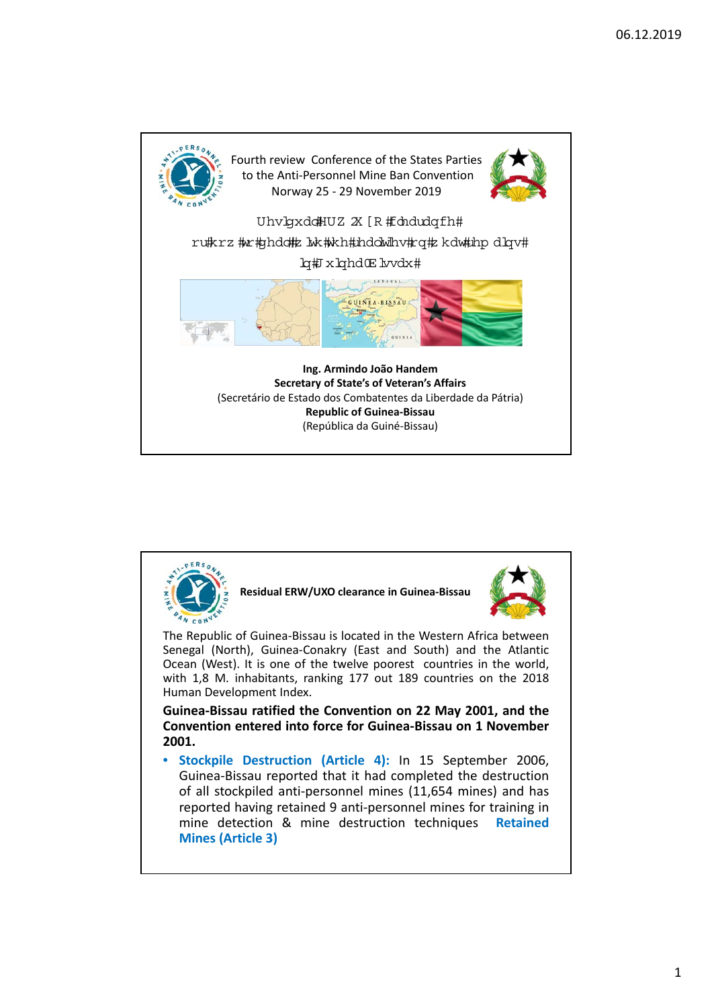

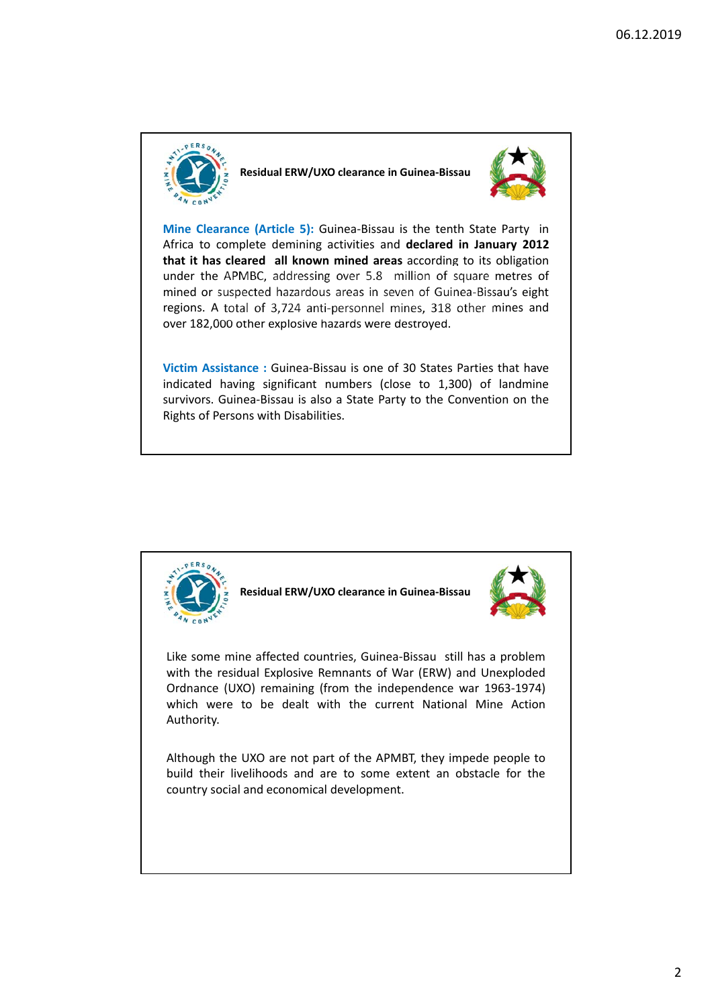

**Residual ERW/UXO clearance in Guinea‐Bissau** 



**Mine Clearance (Article 5):** Guinea-Bissau is the tenth State Party in Africa to complete demining activities and **declared in January 2012 that it has cleared all known mined areas** according to its obligation under the APMBC, addressing over 5.8 million of square metres of mined or suspected hazardous areas in seven of Guinea‐Bissau's eight regions. A total of 3,724 anti‐personnel mines, 318 other mines and over 182,000 other explosive hazards were destroyed.

**Victim Assistance :** Guinea‐Bissau is one of 30 States Parties that have indicated having significant numbers (close to 1,300) of landmine survivors. Guinea‐Bissau is also a State Party to the Convention on the Rights of Persons with Disabilities.



**Residual ERW/UXO clearance in Guinea‐Bissau** 



Like some mine affected countries, Guinea‐Bissau still has a problem with the residual Explosive Remnants of War (ERW) and Unexploded Ordnance (UXO) remaining (from the independence war 1963‐1974) which were to be dealt with the current National Mine Action Authority.

Although the UXO are not part of the APMBT, they impede people to build their livelihoods and are to some extent an obstacle for the country social and economical development.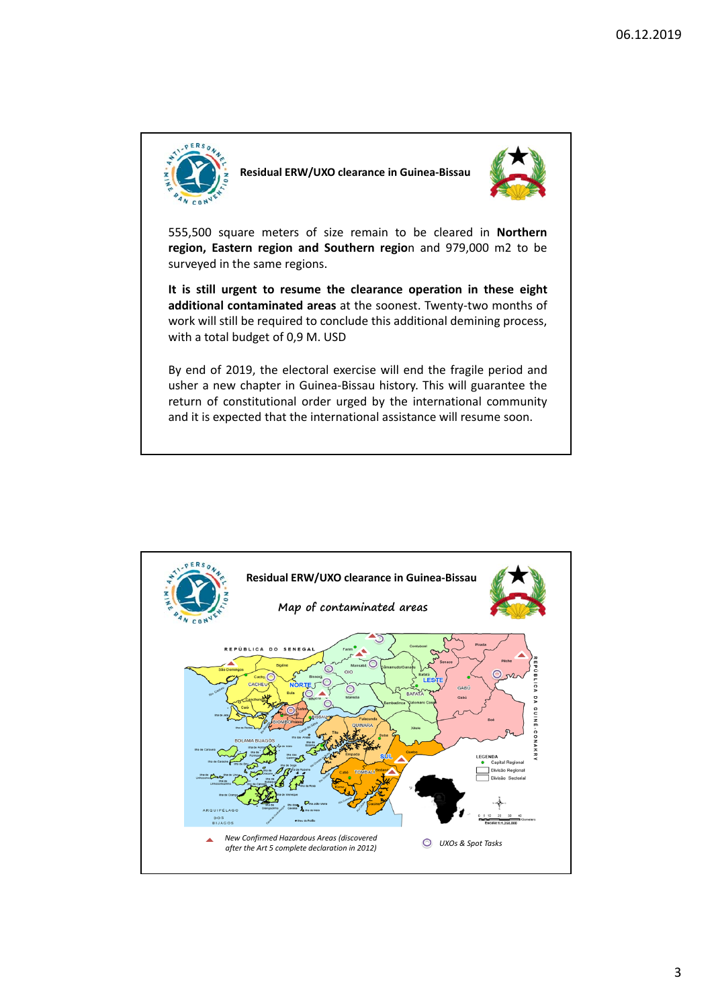

**Residual ERW/UXO clearance in Guinea‐Bissau** 



555,500 square meters of size remain to be cleared in **Northern region, Eastern region and Southern regio**n and 979,000 m2 to be surveyed in the same regions.

**It is still urgent to resume the clearance operation in these eight additional contaminated areas** at the soonest. Twenty‐two months of work will still be required to conclude this additional demining process, with a total budget of 0,9 M. USD

By end of 2019, the electoral exercise will end the fragile period and usher a new chapter in Guinea‐Bissau history. This will guarantee the return of constitutional order urged by the international community and it is expected that the international assistance will resume soon.

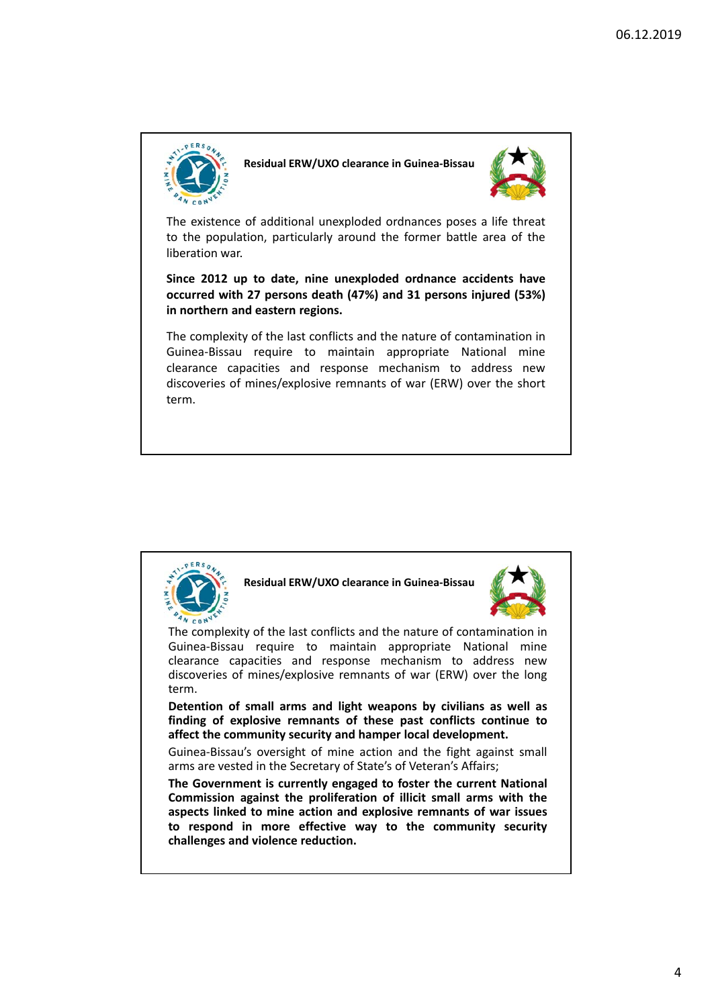

**Residual ERW/UXO clearance in Guinea‐Bissau** 



The existence of additional unexploded ordnances poses a life threat to the population, particularly around the former battle area of the liberation war.

**Since 2012 up to date, nine unexploded ordnance accidents have occurred with 27 persons death (47%) and 31 persons injured (53%) in northern and eastern regions.**

The complexity of the last conflicts and the nature of contamination in Guinea‐Bissau require to maintain appropriate National mine clearance capacities and response mechanism to address new discoveries of mines/explosive remnants of war (ERW) over the short term.



**Residual ERW/UXO clearance in Guinea‐Bissau** 



The complexity of the last conflicts and the nature of contamination in Guinea‐Bissau require to maintain appropriate National mine clearance capacities and response mechanism to address new discoveries of mines/explosive remnants of war (ERW) over the long term.

**Detention of small arms and light weapons by civilians as well as finding of explosive remnants of these past conflicts continue to affect the community security and hamper local development.**

Guinea‐Bissau's oversight of mine action and the fight against small arms are vested in the Secretary of State's of Veteran's Affairs;

**The Government is currently engaged to foster the current National Commission against the proliferation of illicit small arms with the aspects linked to mine action and explosive remnants of war issues to respond in more effective way to the community security challenges and violence reduction.**